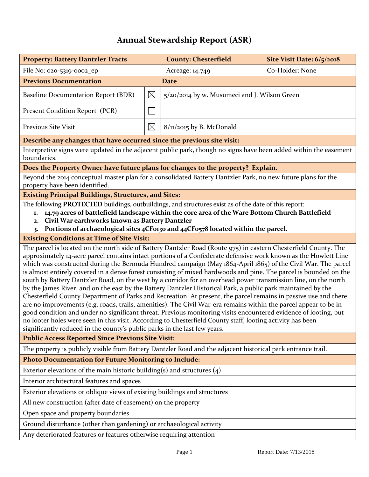## **Annual Stewardship Report (ASR)**

| <b>Property: Battery Dantzler Tracts</b>                                                                                                                                                                                                                                                                                                                                                                                                                                                                                                                                                                                                                                                                                                                                                                                                                                                                                                                                                                                                                                                                                                                                                                                                                         |             | <b>County: Chesterfield</b>                  | Site Visit Date: 6/5/2018 |  |
|------------------------------------------------------------------------------------------------------------------------------------------------------------------------------------------------------------------------------------------------------------------------------------------------------------------------------------------------------------------------------------------------------------------------------------------------------------------------------------------------------------------------------------------------------------------------------------------------------------------------------------------------------------------------------------------------------------------------------------------------------------------------------------------------------------------------------------------------------------------------------------------------------------------------------------------------------------------------------------------------------------------------------------------------------------------------------------------------------------------------------------------------------------------------------------------------------------------------------------------------------------------|-------------|----------------------------------------------|---------------------------|--|
| File No: 020-5319-0002_ep                                                                                                                                                                                                                                                                                                                                                                                                                                                                                                                                                                                                                                                                                                                                                                                                                                                                                                                                                                                                                                                                                                                                                                                                                                        |             | Acreage: 14.749                              | Co-Holder: None           |  |
| <b>Previous Documentation</b><br><b>Date</b>                                                                                                                                                                                                                                                                                                                                                                                                                                                                                                                                                                                                                                                                                                                                                                                                                                                                                                                                                                                                                                                                                                                                                                                                                     |             |                                              |                           |  |
| Baseline Documentation Report (BDR)                                                                                                                                                                                                                                                                                                                                                                                                                                                                                                                                                                                                                                                                                                                                                                                                                                                                                                                                                                                                                                                                                                                                                                                                                              | $\boxtimes$ | 5/20/2014 by w. Musumeci and J. Wilson Green |                           |  |
| Present Condition Report (PCR)                                                                                                                                                                                                                                                                                                                                                                                                                                                                                                                                                                                                                                                                                                                                                                                                                                                                                                                                                                                                                                                                                                                                                                                                                                   |             |                                              |                           |  |
| <b>Previous Site Visit</b>                                                                                                                                                                                                                                                                                                                                                                                                                                                                                                                                                                                                                                                                                                                                                                                                                                                                                                                                                                                                                                                                                                                                                                                                                                       | $\boxtimes$ | $8/\frac{1}{2}$ o15 by B. McDonald           |                           |  |
| Describe any changes that have occurred since the previous site visit:                                                                                                                                                                                                                                                                                                                                                                                                                                                                                                                                                                                                                                                                                                                                                                                                                                                                                                                                                                                                                                                                                                                                                                                           |             |                                              |                           |  |
| Interpretive signs were updated in the adjacent public park, though no signs have been added within the easement<br>boundaries.                                                                                                                                                                                                                                                                                                                                                                                                                                                                                                                                                                                                                                                                                                                                                                                                                                                                                                                                                                                                                                                                                                                                  |             |                                              |                           |  |
| Does the Property Owner have future plans for changes to the property? Explain.                                                                                                                                                                                                                                                                                                                                                                                                                                                                                                                                                                                                                                                                                                                                                                                                                                                                                                                                                                                                                                                                                                                                                                                  |             |                                              |                           |  |
| Beyond the 2014 conceptual master plan for a consolidated Battery Dantzler Park, no new future plans for the<br>property have been identified.                                                                                                                                                                                                                                                                                                                                                                                                                                                                                                                                                                                                                                                                                                                                                                                                                                                                                                                                                                                                                                                                                                                   |             |                                              |                           |  |
| <b>Existing Principal Buildings, Structures, and Sites:</b>                                                                                                                                                                                                                                                                                                                                                                                                                                                                                                                                                                                                                                                                                                                                                                                                                                                                                                                                                                                                                                                                                                                                                                                                      |             |                                              |                           |  |
| The following PROTECTED buildings, outbuildings, and structures exist as of the date of this report:<br>14.79 acres of battlefield landscape within the core area of the Ware Bottom Church Battlefield<br>1.<br>Civil War earthworks known as Battery Dantzler<br>2.<br>Portions of archaeological sites 4CF0130 and 44CF0578 located within the parcel.<br>3.                                                                                                                                                                                                                                                                                                                                                                                                                                                                                                                                                                                                                                                                                                                                                                                                                                                                                                  |             |                                              |                           |  |
| <b>Existing Conditions at Time of Site Visit:</b>                                                                                                                                                                                                                                                                                                                                                                                                                                                                                                                                                                                                                                                                                                                                                                                                                                                                                                                                                                                                                                                                                                                                                                                                                |             |                                              |                           |  |
| The parcel is located on the north side of Battery Dantzler Road (Route 975) in eastern Chesterfield County. The<br>approximately 14-acre parcel contains intact portions of a Confederate defensive work known as the Howlett Line<br>which was constructed during the Bermuda Hundred campaign (May 1864-April 1865) of the Civil War. The parcel<br>is almost entirely covered in a dense forest consisting of mixed hardwoods and pine. The parcel is bounded on the<br>south by Battery Dantzler Road, on the west by a corridor for an overhead power transmission line, on the north<br>by the James River, and on the east by the Battery Dantzler Historical Park, a public park maintained by the<br>Chesterfield County Department of Parks and Recreation. At present, the parcel remains in passive use and there<br>are no improvements (e.g. roads, trails, amenities). The Civil War-era remains within the parcel appear to be in<br>good condition and under no significant threat. Previous monitoring visits encountered evidence of looting, but<br>no looter holes were seen in this visit. According to Chesterfield County staff, looting activity has been<br>significantly reduced in the county's public parks in the last few years. |             |                                              |                           |  |
| <b>Public Access Reported Since Previous Site Visit:</b>                                                                                                                                                                                                                                                                                                                                                                                                                                                                                                                                                                                                                                                                                                                                                                                                                                                                                                                                                                                                                                                                                                                                                                                                         |             |                                              |                           |  |
| The property is publicly visible from Battery Dantzler Road and the adjacent historical park entrance trail.                                                                                                                                                                                                                                                                                                                                                                                                                                                                                                                                                                                                                                                                                                                                                                                                                                                                                                                                                                                                                                                                                                                                                     |             |                                              |                           |  |
| <b>Photo Documentation for Future Monitoring to Include:</b>                                                                                                                                                                                                                                                                                                                                                                                                                                                                                                                                                                                                                                                                                                                                                                                                                                                                                                                                                                                                                                                                                                                                                                                                     |             |                                              |                           |  |
| Exterior elevations of the main historic building(s) and structures $(4)$                                                                                                                                                                                                                                                                                                                                                                                                                                                                                                                                                                                                                                                                                                                                                                                                                                                                                                                                                                                                                                                                                                                                                                                        |             |                                              |                           |  |
| Interior architectural features and spaces                                                                                                                                                                                                                                                                                                                                                                                                                                                                                                                                                                                                                                                                                                                                                                                                                                                                                                                                                                                                                                                                                                                                                                                                                       |             |                                              |                           |  |
| Exterior elevations or oblique views of existing buildings and structures                                                                                                                                                                                                                                                                                                                                                                                                                                                                                                                                                                                                                                                                                                                                                                                                                                                                                                                                                                                                                                                                                                                                                                                        |             |                                              |                           |  |
| All new construction (after date of easement) on the property                                                                                                                                                                                                                                                                                                                                                                                                                                                                                                                                                                                                                                                                                                                                                                                                                                                                                                                                                                                                                                                                                                                                                                                                    |             |                                              |                           |  |
| Open space and property boundaries                                                                                                                                                                                                                                                                                                                                                                                                                                                                                                                                                                                                                                                                                                                                                                                                                                                                                                                                                                                                                                                                                                                                                                                                                               |             |                                              |                           |  |
| Ground disturbance (other than gardening) or archaeological activity                                                                                                                                                                                                                                                                                                                                                                                                                                                                                                                                                                                                                                                                                                                                                                                                                                                                                                                                                                                                                                                                                                                                                                                             |             |                                              |                           |  |
| Any deteriorated features or features otherwise requiring attention                                                                                                                                                                                                                                                                                                                                                                                                                                                                                                                                                                                                                                                                                                                                                                                                                                                                                                                                                                                                                                                                                                                                                                                              |             |                                              |                           |  |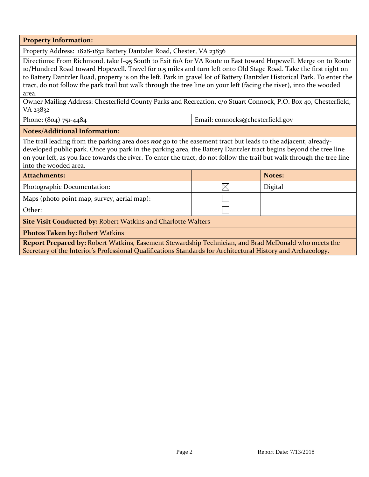**Property Information:**

Property Address: 1828-1832 Battery Dantzler Road, Chester, VA 23836

Directions: From Richmond, take I-95 South to Exit 61A for VA Route 10 East toward Hopewell. Merge on to Route 10/Hundred Road toward Hopewell. Travel for 0.5 miles and turn left onto Old Stage Road. Take the first right on to Battery Dantzler Road, property is on the left. Park in gravel lot of Battery Dantzler Historical Park. To enter the tract, do not follow the park trail but walk through the tree line on your left (facing the river), into the wooded area.

Owner Mailing Address: Chesterfield County Parks and Recreation, c/o Stuart Connock, P.O. Box 40, Chesterfield, VA 23832

Phone: (804) 751-4484 **Email: connocks@chesterfield.gov** 

## **Notes/Additional Information:**

The trail leading from the parking area does *not* go to the easement tract but leads to the adjacent, alreadydeveloped public park. Once you park in the parking area, the Battery Dantzler tract begins beyond the tree line on your left, as you face towards the river. To enter the tract, do not follow the trail but walk through the tree line into the wooded area.

| <b>Attachments:</b>                                                                                  |  | Notes:  |  |  |
|------------------------------------------------------------------------------------------------------|--|---------|--|--|
| Photographic Documentation:                                                                          |  | Digital |  |  |
| Maps (photo point map, survey, aerial map):                                                          |  |         |  |  |
| Other:                                                                                               |  |         |  |  |
| <b>Site Visit Conducted by: Robert Watkins and Charlotte Walters</b>                                 |  |         |  |  |
| <b>Photos Taken by: Robert Watkins</b>                                                               |  |         |  |  |
| Report Prepared by: Robert Watkins, Easement Stewardship Technician, and Brad McDonald who meets the |  |         |  |  |

Secretary of the Interior's Professional Qualifications Standards for Architectural History and Archaeology.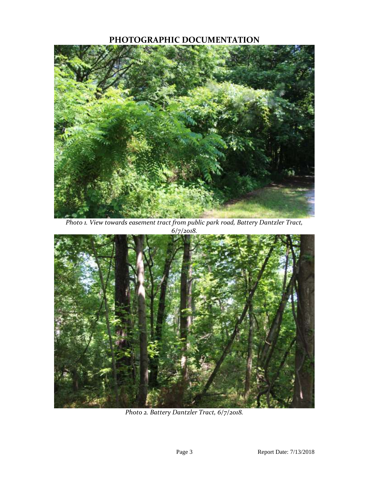## **PHOTOGRAPHIC DOCUMENTATION**



*Photo 1. View towards easement tract from public park road, Battery Dantzler Tract, 6/7/2018.*



*Photo 2. Battery Dantzler Tract, 6/7/2018.*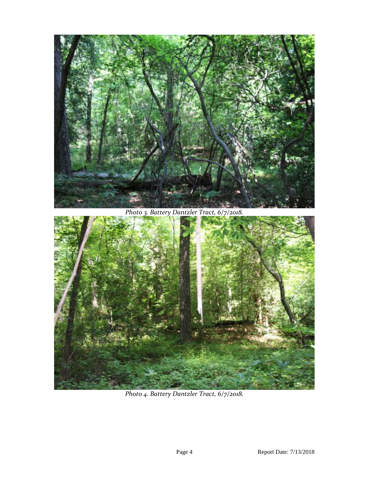

*Photo 3. Battery Dantzler Tract, 6/7/2018.*



*Photo 4. Battery Dantzler Tract, 6/7/2018.*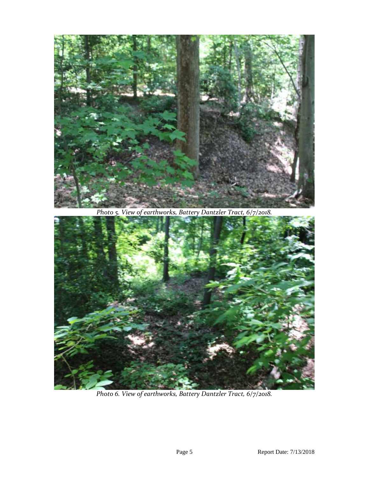

*Photo 5. View of earthworks, Battery Dantzler Tract, 6/7/2018.*



*Photo 6. View of earthworks, Battery Dantzler Tract, 6/7/2o18.*